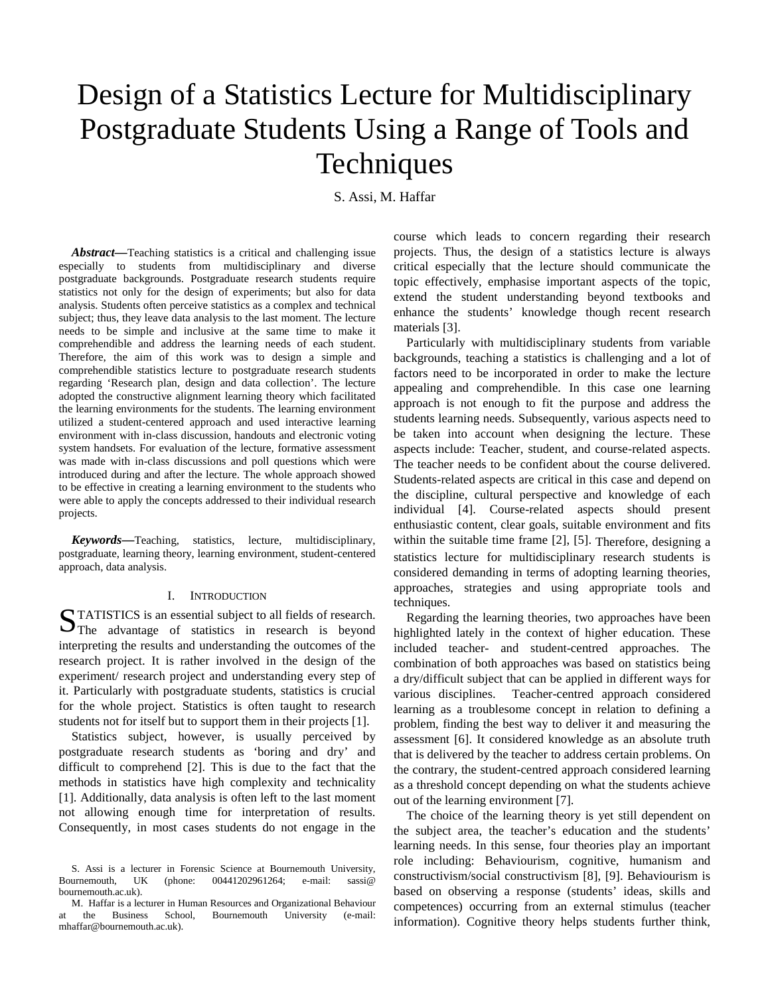# Design of a Statistics Lecture for Multidisciplinary Postgraduate Students Using a Range of Tools and **Techniques**

S. Assi, M. Haffar

*Abstract***—**Teaching statistics is a critical and challenging issue especially to students from multidisciplinary and diverse postgraduate backgrounds. Postgraduate research students require statistics not only for the design of experiments; but also for data analysis. Students often perceive statistics as a complex and technical subject; thus, they leave data analysis to the last moment. The lecture needs to be simple and inclusive at the same time to make it comprehendible and address the learning needs of each student. Therefore, the aim of this work was to design a simple and comprehendible statistics lecture to postgraduate research students regarding 'Research plan, design and data collection'. The lecture adopted the constructive alignment learning theory which facilitated the learning environments for the students. The learning environment utilized a student-centered approach and used interactive learning environment with in-class discussion, handouts and electronic voting system handsets. For evaluation of the lecture, formative assessment was made with in-class discussions and poll questions which were introduced during and after the lecture. The whole approach showed to be effective in creating a learning environment to the students who were able to apply the concepts addressed to their individual research projects.

*Keywords***—**Teaching, statistics, lecture, multidisciplinary, postgraduate, learning theory, learning environment, student-centered approach, data analysis.

# I. INTRODUCTION

TATISTICS is an essential subject to all fields of research. STATISTICS is an essential subject to all fields of research.<br>The advantage of statistics in research is beyond interpreting the results and understanding the outcomes of the research project. It is rather involved in the design of the experiment/ research project and understanding every step of it. Particularly with postgraduate students, statistics is crucial for the whole project. Statistics is often taught to research students not for itself but to support them in their projects [1].

Statistics subject, however, is usually perceived by postgraduate research students as 'boring and dry' and difficult to comprehend [2]. This is due to the fact that the methods in statistics have high complexity and technicality [1]. Additionally, data analysis is often left to the last moment not allowing enough time for interpretation of results. Consequently, in most cases students do not engage in the course which leads to concern regarding their research projects. Thus, the design of a statistics lecture is always critical especially that the lecture should communicate the topic effectively, emphasise important aspects of the topic, extend the student understanding beyond textbooks and enhance the students' knowledge though recent research materials [3].

Particularly with multidisciplinary students from variable backgrounds, teaching a statistics is challenging and a lot of factors need to be incorporated in order to make the lecture appealing and comprehendible. In this case one learning approach is not enough to fit the purpose and address the students learning needs. Subsequently, various aspects need to be taken into account when designing the lecture. These aspects include: Teacher, student, and course-related aspects. The teacher needs to be confident about the course delivered. Students-related aspects are critical in this case and depend on the discipline, cultural perspective and knowledge of each individual [4]. Course-related aspects should present enthusiastic content, clear goals, suitable environment and fits within the suitable time frame [2], [5]. Therefore, designing a statistics lecture for multidisciplinary research students is considered demanding in terms of adopting learning theories, approaches, strategies and using appropriate tools and techniques.

Regarding the learning theories, two approaches have been highlighted lately in the context of higher education. These included teacher- and student-centred approaches. The combination of both approaches was based on statistics being a dry/difficult subject that can be applied in different ways for various disciplines. Teacher-centred approach considered learning as a troublesome concept in relation to defining a problem, finding the best way to deliver it and measuring the assessment [6]. It considered knowledge as an absolute truth that is delivered by the teacher to address certain problems. On the contrary, the student-centred approach considered learning as a threshold concept depending on what the students achieve out of the learning environment [7].

The choice of the learning theory is yet still dependent on the subject area, the teacher's education and the students' learning needs. In this sense, four theories play an important role including: Behaviourism, cognitive, humanism and constructivism/social constructivism [8], [9]. Behaviourism is based on observing a response (students' ideas, skills and competences) occurring from an external stimulus (teacher information). Cognitive theory helps students further think,

S. Assi is a lecturer in Forensic Science at Bournemouth University, Bournemouth, UK (phone: 00441202961264; e-mail: sassi@ bournemouth.ac.uk).

M. Haffar is a lecturer in Human Resources and Organizational Behaviour at the Business School, Bournemouth University (e-mail: mhaffar@bournemouth.ac.uk).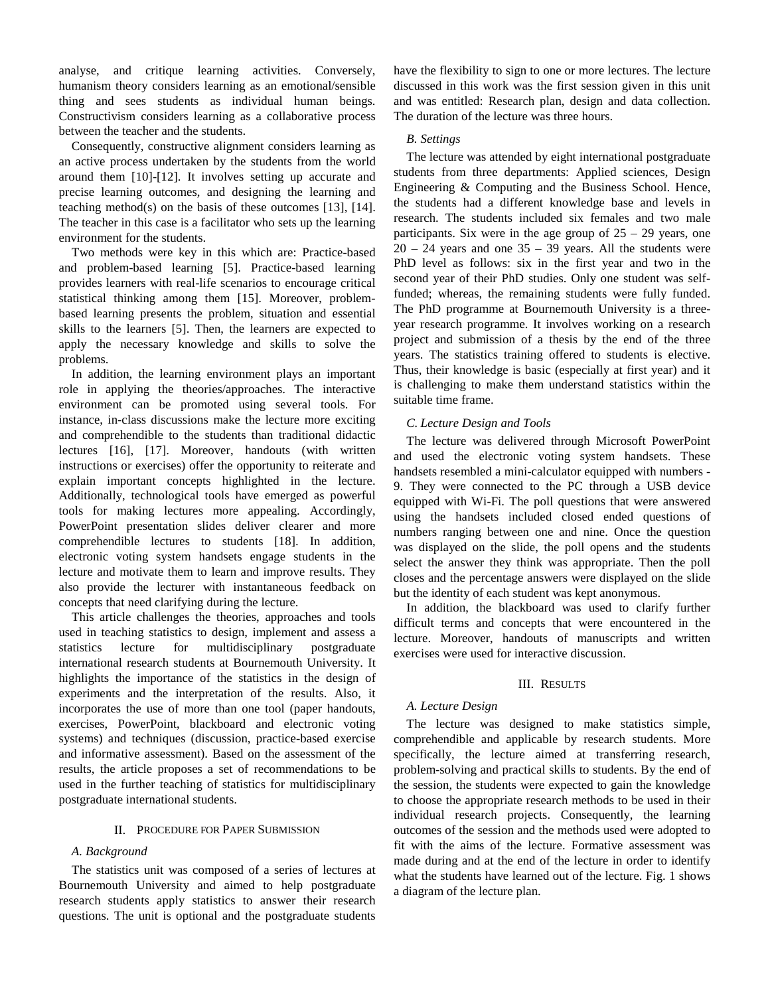analyse, and critique learning activities. Conversely, humanism theory considers learning as an emotional/sensible thing and sees students as individual human beings. Constructivism considers learning as a collaborative process between the teacher and the students.

Consequently, constructive alignment considers learning as an active process undertaken by the students from the world around them [10]-[12]. It involves setting up accurate and precise learning outcomes, and designing the learning and teaching method(s) on the basis of these outcomes [13], [14]. The teacher in this case is a facilitator who sets up the learning environment for the students.

Two methods were key in this which are: Practice-based and problem-based learning [5]. Practice-based learning provides learners with real-life scenarios to encourage critical statistical thinking among them [15]. Moreover, problembased learning presents the problem, situation and essential skills to the learners [5]. Then, the learners are expected to apply the necessary knowledge and skills to solve the problems.

In addition, the learning environment plays an important role in applying the theories/approaches. The interactive environment can be promoted using several tools. For instance, in-class discussions make the lecture more exciting and comprehendible to the students than traditional didactic lectures [16], [17]. Moreover, handouts (with written instructions or exercises) offer the opportunity to reiterate and explain important concepts highlighted in the lecture. Additionally, technological tools have emerged as powerful tools for making lectures more appealing. Accordingly, PowerPoint presentation slides deliver clearer and more comprehendible lectures to students [18]. In addition, electronic voting system handsets engage students in the lecture and motivate them to learn and improve results. They also provide the lecturer with instantaneous feedback on concepts that need clarifying during the lecture.

This article challenges the theories, approaches and tools used in teaching statistics to design, implement and assess a statistics lecture for multidisciplinary postgraduate international research students at Bournemouth University. It highlights the importance of the statistics in the design of experiments and the interpretation of the results. Also, it incorporates the use of more than one tool (paper handouts, exercises, PowerPoint, blackboard and electronic voting systems) and techniques (discussion, practice-based exercise and informative assessment). Based on the assessment of the results, the article proposes a set of recommendations to be used in the further teaching of statistics for multidisciplinary postgraduate international students.

# II. PROCEDURE FOR PAPER SUBMISSION

# *A. Background*

The statistics unit was composed of a series of lectures at Bournemouth University and aimed to help postgraduate research students apply statistics to answer their research questions. The unit is optional and the postgraduate students

have the flexibility to sign to one or more lectures. The lecture discussed in this work was the first session given in this unit and was entitled: Research plan, design and data collection. The duration of the lecture was three hours.

## *B. Settings*

The lecture was attended by eight international postgraduate students from three departments: Applied sciences, Design Engineering & Computing and the Business School. Hence, the students had a different knowledge base and levels in research. The students included six females and two male participants. Six were in the age group of  $25 - 29$  years, one  $20 - 24$  years and one  $35 - 39$  years. All the students were PhD level as follows: six in the first year and two in the second year of their PhD studies. Only one student was selffunded; whereas, the remaining students were fully funded. The PhD programme at Bournemouth University is a threeyear research programme. It involves working on a research project and submission of a thesis by the end of the three years. The statistics training offered to students is elective. Thus, their knowledge is basic (especially at first year) and it is challenging to make them understand statistics within the suitable time frame.

# *C. Lecture Design and Tools*

The lecture was delivered through Microsoft PowerPoint and used the electronic voting system handsets. These handsets resembled a mini-calculator equipped with numbers - 9. They were connected to the PC through a USB device equipped with Wi-Fi. The poll questions that were answered using the handsets included closed ended questions of numbers ranging between one and nine. Once the question was displayed on the slide, the poll opens and the students select the answer they think was appropriate. Then the poll closes and the percentage answers were displayed on the slide but the identity of each student was kept anonymous.

In addition, the blackboard was used to clarify further difficult terms and concepts that were encountered in the lecture. Moreover, handouts of manuscripts and written exercises were used for interactive discussion.

#### III. RESULTS

# *A. Lecture Design*

The lecture was designed to make statistics simple, comprehendible and applicable by research students. More specifically, the lecture aimed at transferring research, problem-solving and practical skills to students. By the end of the session, the students were expected to gain the knowledge to choose the appropriate research methods to be used in their individual research projects. Consequently, the learning outcomes of the session and the methods used were adopted to fit with the aims of the lecture. Formative assessment was made during and at the end of the lecture in order to identify what the students have learned out of the lecture. Fig. 1 shows a diagram of the lecture plan.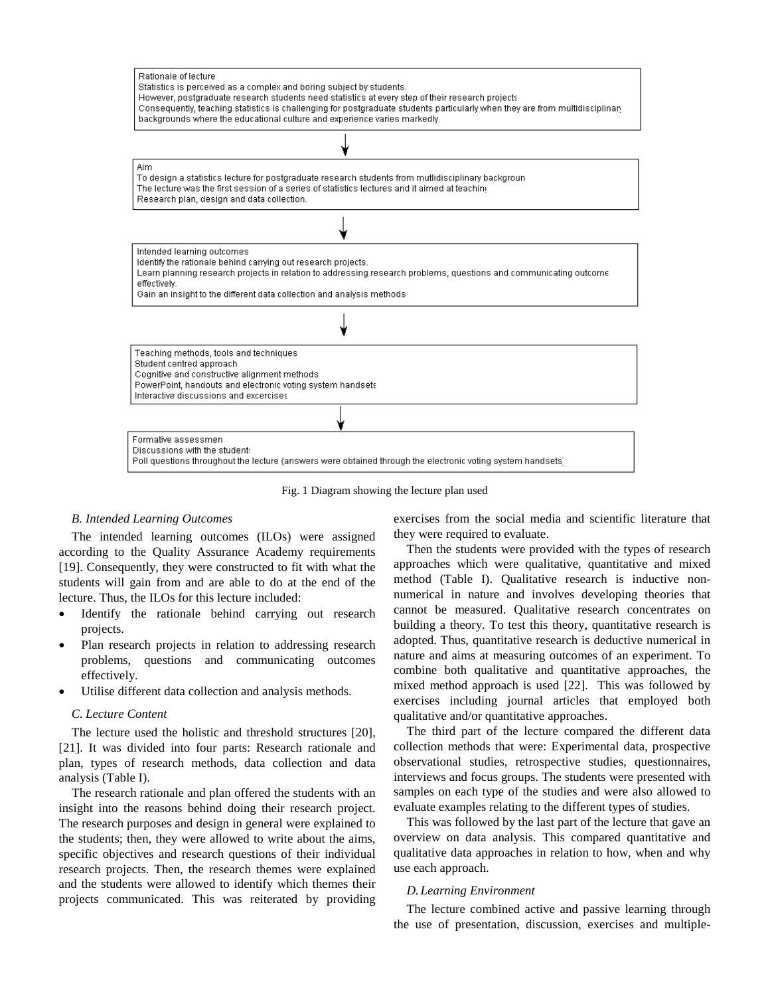

Fig. 1 Diagram showing the lecture plan used

#### *B. Intended Learning Outcomes*

The intended learning outcomes (ILOs) were assigned according to the Quality Assurance Academy requirements [19]. Consequently, they were constructed to fit with what the students will gain from and are able to do at the end of the lecture. Thus, the ILOs for this lecture included:

- Identify the rationale behind carrying out research projects.
- Plan research projects in relation to addressing research problems, questions and communicating outcomes effectively.
- Utilise different data collection and analysis methods.

#### *C. Lecture Content*

The lecture used the holistic and threshold structures [20], [21]. It was divided into four parts: Research rationale and plan, types of research methods, data collection and data analysis (Table I).

The research rationale and plan offered the students with an insight into the reasons behind doing their research project. The research purposes and design in general were explained to the students; then, they were allowed to write about the aims, specific objectives and research questions of their individual research projects. Then, the research themes were explained and the students were allowed to identify which themes their projects communicated. This was reiterated by providing

exercises from the social media and scientific literature that they were required to evaluate.

Then the students were provided with the types of research approaches which were qualitative, quantitative and mixed method (Table I). Qualitative research is inductive nonnumerical in nature and involves developing theories that cannot be measured. Qualitative research concentrates on building a theory. To test this theory, quantitative research is adopted. Thus, quantitative research is deductive numerical in nature and aims at measuring outcomes of an experiment. To combine both qualitative and quantitative approaches, the mixed method approach is used [22]. This was followed by exercises including journal articles that employed both qualitative and/or quantitative approaches.

The third part of the lecture compared the different data collection methods that were: Experimental data, prospective observational studies, retrospective studies, questionnaires, interviews and focus groups. The students were presented with samples on each type of the studies and were also allowed to evaluate examples relating to the different types of studies.

This was followed by the last part of the lecture that gave an overview on data analysis. This compared quantitative and qualitative data approaches in relation to how, when and why use each approach.

#### *D. Learning Environment*

The lecture combined active and passive learning through the use of presentation, discussion, exercises and multiple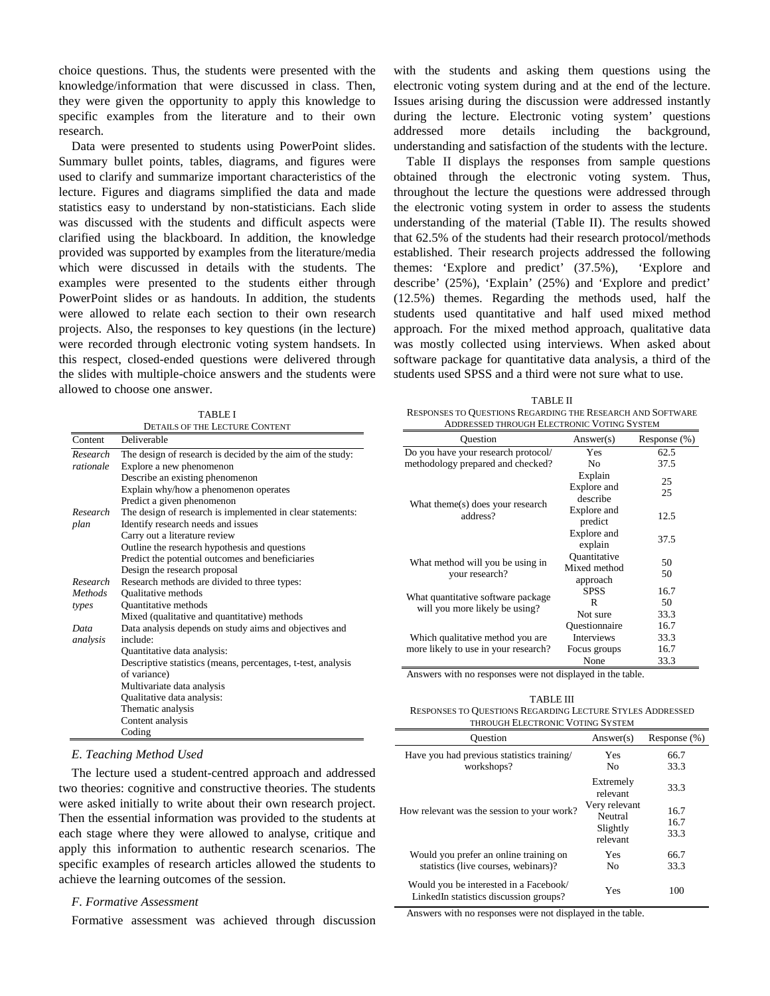choice questions. Thus, the students were presented with the knowledge/information that were discussed in class. Then, they were given the opportunity to apply this knowledge to specific examples from the literature and to their own research.

Data were presented to students using PowerPoint slides. Summary bullet points, tables, diagrams, and figures were used to clarify and summarize important characteristics of the lecture. Figures and diagrams simplified the data and made statistics easy to understand by non-statisticians. Each slide was discussed with the students and difficult aspects were clarified using the blackboard. In addition, the knowledge provided was supported by examples from the literature/media which were discussed in details with the students. The examples were presented to the students either through PowerPoint slides or as handouts. In addition, the students were allowed to relate each section to their own research projects. Also, the responses to key questions (in the lecture) were recorded through electronic voting system handsets. In this respect, closed-ended questions were delivered through the slides with multiple-choice answers and the students were allowed to choose one answer.

| <b>TABLE I</b>                 |  |  |
|--------------------------------|--|--|
| DET JUGOETHE LEGELINE COMPENIA |  |  |

|                | DETAILS OF THE LECTURE CONTENT                               |
|----------------|--------------------------------------------------------------|
| Content        | Deliverable                                                  |
| Research       | The design of research is decided by the aim of the study:   |
| rationale      | Explore a new phenomenon                                     |
|                | Describe an existing phenomenon                              |
|                | Explain why/how a phenomenon operates                        |
|                | Predict a given phenomenon                                   |
| Research       | The design of research is implemented in clear statements:   |
| plan           | Identify research needs and issues                           |
|                | Carry out a literature review                                |
|                | Outline the research hypothesis and questions                |
|                | Predict the potential outcomes and beneficiaries             |
|                | Design the research proposal                                 |
| Research       | Research methods are divided to three types:                 |
| <b>Methods</b> | <b>Oualitative methods</b>                                   |
| types          | <b>Quantitative methods</b>                                  |
|                | Mixed (qualitative and quantitative) methods                 |
| Data           | Data analysis depends on study aims and objectives and       |
| analysis       | include:                                                     |
|                | Quantitative data analysis:                                  |
|                | Descriptive statistics (means, percentages, t-test, analysis |
|                | of variance)                                                 |
|                | Multivariate data analysis                                   |
|                | Qualitative data analysis:                                   |
|                | Thematic analysis                                            |
|                | Content analysis                                             |
|                | Coding                                                       |

with the students and asking them questions using the electronic voting system during and at the end of the lecture. Issues arising during the discussion were addressed instantly during the lecture. Electronic voting system' questions addressed more details including the background, understanding and satisfaction of the students with the lecture.

Table II displays the responses from sample questions obtained through the electronic voting system. Thus, throughout the lecture the questions were addressed through the electronic voting system in order to assess the students understanding of the material (Table II). The results showed that 62.5% of the students had their research protocol/methods established. Their research projects addressed the following themes: 'Explore and predict' (37.5%), 'Explore and describe' (25%), 'Explain' (25%) and 'Explore and predict' (12.5%) themes. Regarding the methods used, half the students used quantitative and half used mixed method approach. For the mixed method approach, qualitative data was mostly collected using interviews. When asked about software package for quantitative data analysis, a third of the students used SPSS and a third were not sure what to use.

| <b>TABLE II</b>                                            |
|------------------------------------------------------------|
| RESPONSES TO QUESTIONS REGARDING THE RESEARCH AND SOFTWARE |
| ADDRESSED THROUGH ELECTRONIC VOTING SYSTEM                 |

| Ouestion                                                                 | Answer(s)                                | Response (%) |
|--------------------------------------------------------------------------|------------------------------------------|--------------|
| Do you have your research protocol/                                      | <b>Yes</b>                               | 62.5         |
| methodology prepared and checked?                                        | N <sub>0</sub>                           | 37.5         |
| What theme(s) does your research<br>address?                             | Explain<br>Explore and<br>describe       | 25<br>25     |
|                                                                          | Explore and<br>predict                   | 12.5         |
|                                                                          | Explore and<br>explain                   | 37.5         |
| What method will you be using in<br>your research?                       | Ouantitative<br>Mixed method<br>approach | 50<br>50     |
| What quantitative software package<br>will you more likely be using?     | <b>SPSS</b>                              | 16.7         |
|                                                                          | R                                        | 50           |
|                                                                          | Not sure                                 | 33.3         |
| Which qualitative method you are<br>more likely to use in your research? | Questionnaire                            | 16.7         |
|                                                                          | <b>Interviews</b>                        | 33.3         |
|                                                                          | Focus groups                             | 16.7         |
|                                                                          | None                                     | 33.3         |

Answers with no responses were not displayed in the table.

TABLE III RESPONSES TO QUESTIONS REGARDING LECTURE STYLES ADDRESSED THROUGH ELECTRONIC VOTING SYSTEM

| <b>Ouestion</b>                                                                  | Answer(s)             | Response (%) |  |  |
|----------------------------------------------------------------------------------|-----------------------|--------------|--|--|
| Have you had previous statistics training/                                       | Yes                   | 66.7         |  |  |
| workshops?                                                                       | No                    | 33.3         |  |  |
| How relevant was the session to your work?                                       | Extremely<br>relevant | 33.3         |  |  |
|                                                                                  | Very relevant         | 16.7         |  |  |
|                                                                                  | Neutral               | 16.7         |  |  |
|                                                                                  | Slightly<br>relevant  | 33.3         |  |  |
| Would you prefer an online training on                                           | Yes                   | 66.7         |  |  |
| statistics (live courses, webinars)?                                             | N <sub>0</sub>        | 33.3         |  |  |
| Would you be interested in a Facebook/<br>LinkedIn statistics discussion groups? | Yes                   | 100          |  |  |

Answers with no responses were not displayed in the table.

# *E. Teaching Method Used*

The lecture used a student-centred approach and addressed two theories: cognitive and constructive theories. The students were asked initially to write about their own research project. Then the essential information was provided to the students at each stage where they were allowed to analyse, critique and apply this information to authentic research scenarios. The specific examples of research articles allowed the students to achieve the learning outcomes of the session.

# *F. Formative Assessment*

Formative assessment was achieved through discussion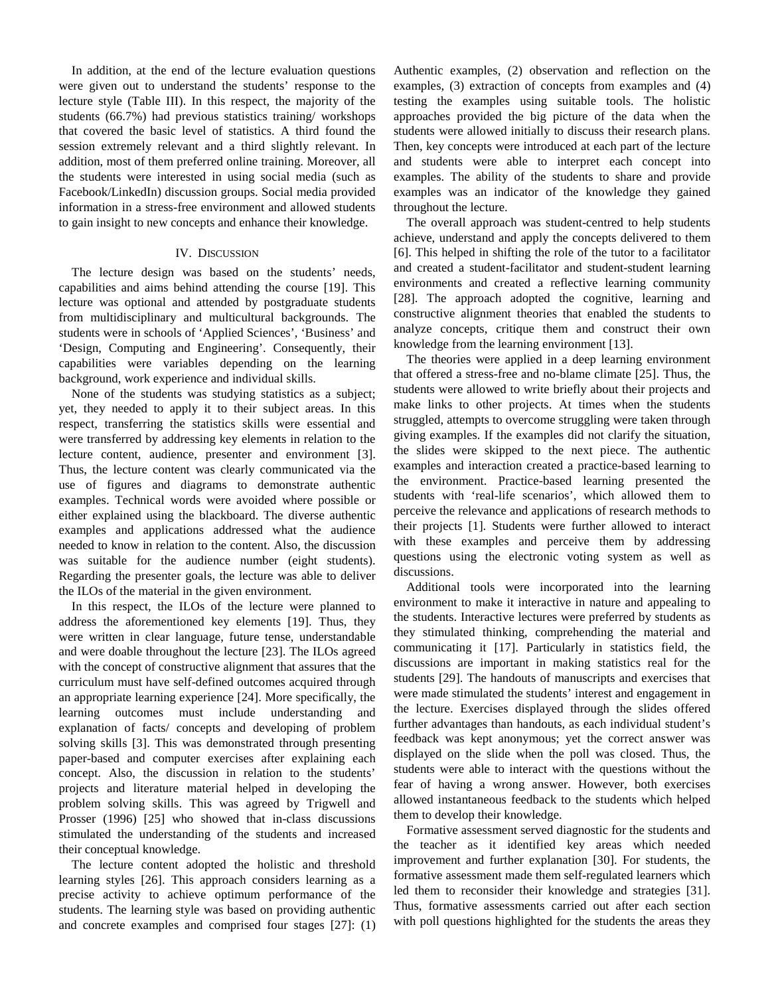In addition, at the end of the lecture evaluation questions were given out to understand the students' response to the lecture style (Table III). In this respect, the majority of the students (66.7%) had previous statistics training/ workshops that covered the basic level of statistics. A third found the session extremely relevant and a third slightly relevant. In addition, most of them preferred online training. Moreover, all the students were interested in using social media (such as Facebook/LinkedIn) discussion groups. Social media provided information in a stress-free environment and allowed students to gain insight to new concepts and enhance their knowledge.

#### IV. DISCUSSION

The lecture design was based on the students' needs, capabilities and aims behind attending the course [19]. This lecture was optional and attended by postgraduate students from multidisciplinary and multicultural backgrounds. The students were in schools of 'Applied Sciences', 'Business' and 'Design, Computing and Engineering'. Consequently, their capabilities were variables depending on the learning background, work experience and individual skills.

None of the students was studying statistics as a subject; yet, they needed to apply it to their subject areas. In this respect, transferring the statistics skills were essential and were transferred by addressing key elements in relation to the lecture content, audience, presenter and environment [3]. Thus, the lecture content was clearly communicated via the use of figures and diagrams to demonstrate authentic examples. Technical words were avoided where possible or either explained using the blackboard. The diverse authentic examples and applications addressed what the audience needed to know in relation to the content. Also, the discussion was suitable for the audience number (eight students). Regarding the presenter goals, the lecture was able to deliver the ILOs of the material in the given environment.

In this respect, the ILOs of the lecture were planned to address the aforementioned key elements [19]. Thus, they were written in clear language, future tense, understandable and were doable throughout the lecture [23]. The ILOs agreed with the concept of constructive alignment that assures that the curriculum must have self-defined outcomes acquired through an appropriate learning experience [24]. More specifically, the learning outcomes must include understanding and explanation of facts/ concepts and developing of problem solving skills [3]. This was demonstrated through presenting paper-based and computer exercises after explaining each concept. Also, the discussion in relation to the students' projects and literature material helped in developing the problem solving skills. This was agreed by Trigwell and Prosser (1996) [25] who showed that in-class discussions stimulated the understanding of the students and increased their conceptual knowledge.

The lecture content adopted the holistic and threshold learning styles [26]. This approach considers learning as a precise activity to achieve optimum performance of the students. The learning style was based on providing authentic and concrete examples and comprised four stages [27]: (1)

Authentic examples, (2) observation and reflection on the examples, (3) extraction of concepts from examples and (4) testing the examples using suitable tools. The holistic approaches provided the big picture of the data when the students were allowed initially to discuss their research plans. Then, key concepts were introduced at each part of the lecture and students were able to interpret each concept into examples. The ability of the students to share and provide examples was an indicator of the knowledge they gained throughout the lecture.

The overall approach was student-centred to help students achieve, understand and apply the concepts delivered to them [6]. This helped in shifting the role of the tutor to a facilitator and created a student-facilitator and student-student learning environments and created a reflective learning community [28]. The approach adopted the cognitive, learning and constructive alignment theories that enabled the students to analyze concepts, critique them and construct their own knowledge from the learning environment [13].

The theories were applied in a deep learning environment that offered a stress-free and no-blame climate [25]. Thus, the students were allowed to write briefly about their projects and make links to other projects. At times when the students struggled, attempts to overcome struggling were taken through giving examples. If the examples did not clarify the situation, the slides were skipped to the next piece. The authentic examples and interaction created a practice-based learning to the environment. Practice-based learning presented the students with 'real-life scenarios', which allowed them to perceive the relevance and applications of research methods to their projects [1]. Students were further allowed to interact with these examples and perceive them by addressing questions using the electronic voting system as well as discussions.

Additional tools were incorporated into the learning environment to make it interactive in nature and appealing to the students. Interactive lectures were preferred by students as they stimulated thinking, comprehending the material and communicating it [17]. Particularly in statistics field, the discussions are important in making statistics real for the students [29]. The handouts of manuscripts and exercises that were made stimulated the students' interest and engagement in the lecture. Exercises displayed through the slides offered further advantages than handouts, as each individual student's feedback was kept anonymous; yet the correct answer was displayed on the slide when the poll was closed. Thus, the students were able to interact with the questions without the fear of having a wrong answer. However, both exercises allowed instantaneous feedback to the students which helped them to develop their knowledge.

Formative assessment served diagnostic for the students and the teacher as it identified key areas which needed improvement and further explanation [30]. For students, the formative assessment made them self-regulated learners which led them to reconsider their knowledge and strategies [31]. Thus, formative assessments carried out after each section with poll questions highlighted for the students the areas they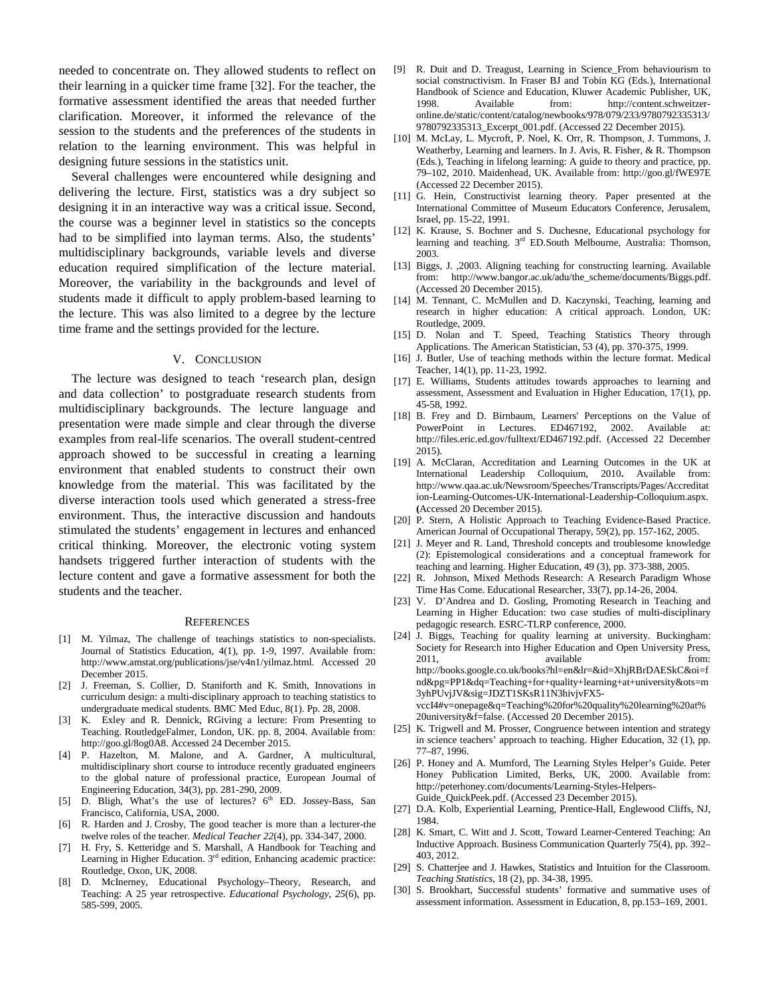needed to concentrate on. They allowed students to reflect on their learning in a quicker time frame [32]. For the teacher, the formative assessment identified the areas that needed further clarification. Moreover, it informed the relevance of the session to the students and the preferences of the students in relation to the learning environment. This was helpful in designing future sessions in the statistics unit.

Several challenges were encountered while designing and delivering the lecture. First, statistics was a dry subject so designing it in an interactive way was a critical issue. Second, the course was a beginner level in statistics so the concepts had to be simplified into layman terms. Also, the students' multidisciplinary backgrounds, variable levels and diverse education required simplification of the lecture material. Moreover, the variability in the backgrounds and level of students made it difficult to apply problem-based learning to the lecture. This was also limited to a degree by the lecture time frame and the settings provided for the lecture.

## V. CONCLUSION

The lecture was designed to teach 'research plan, design and data collection' to postgraduate research students from multidisciplinary backgrounds. The lecture language and presentation were made simple and clear through the diverse examples from real-life scenarios. The overall student-centred approach showed to be successful in creating a learning environment that enabled students to construct their own knowledge from the material. This was facilitated by the diverse interaction tools used which generated a stress-free environment. Thus, the interactive discussion and handouts stimulated the students' engagement in lectures and enhanced critical thinking. Moreover, the electronic voting system handsets triggered further interaction of students with the lecture content and gave a formative assessment for both the students and the teacher.

#### **REFERENCES**

- [1] M. Yilmaz, The challenge of teachings statistics to non-specialists. Journal of Statistics Education, 4(1), pp. 1-9, 1997. Available from: [http://www.amstat.org/publications/jse/v4n1/yilmaz.html.](http://www.amstat.org/publications/jse/v4n1/yilmaz.html) Accessed 20 December 2015.
- [2] J. Freeman, S. Collier, D. Staniforth and K. Smith, Innovations in curriculum design: a multi-disciplinary approach to teaching statistics to undergraduate medical students. BMC Med Educ, 8(1). Pp. 28, 2008.
- [3] K. Exley and R. Dennick, RGiving a lecture: From Presenting to Teaching. RoutledgeFalmer, London, UK. pp. 8, 2004. Available from: http://goo.gl/8og0A8. Accessed 24 December 2015.
- [4] P. Hazelton, M. Malone, and A. Gardner, A multicultural, multidisciplinary short course to introduce recently graduated engineers to the global nature of professional practice, European Journal of Engineering Education, 34(3), pp. 281-290, 2009.
- [5] D. Bligh, What's the use of lectures? 6<sup>th</sup> ED. Jossey-Bass, San Francisco, California, USA, 2000.
- [6] R. Harden and J. Crosby, The good teacher is more than a lecturer-the twelve roles of the teacher. *Medical Teacher 22*(4), pp. 334-347, 2000.
- [7] H. Fry, S. Ketteridge and S. Marshall, A Handbook for Teaching and Learning in Higher Education.  $3<sup>rd</sup>$  edition, Enhancing academic practice: Routledge, Oxon, UK, 2008.
- [8] D. McInerney, Educational Psychology–Theory, Research, and Teaching: A 25 year retrospective. *Educational Psychology*, *25*(6), pp. 585-599, 2005.
- [9] R. Duit and D. Treagust, Learning in Science\_From behaviourism to social constructivism. In Fraser BJ and Tobin KG (Eds.), International Handbook of Science and Education, Kluwer Academic Publisher, UK, 1998. Available from: [http://content.schweitzer](http://content.schweitzer-online.de/static/content/catalog/newbooks/978/079/233/9780792335313/9780792335313_Excerpt_001.pdf)[online.de/static/content/catalog/newbooks/978/079/233/9780792335313/](http://content.schweitzer-online.de/static/content/catalog/newbooks/978/079/233/9780792335313/9780792335313_Excerpt_001.pdf) [9780792335313\\_Excerpt\\_001.pdf.](http://content.schweitzer-online.de/static/content/catalog/newbooks/978/079/233/9780792335313/9780792335313_Excerpt_001.pdf) (Accessed 22 December 2015).
- [10] M. McLay, L. Mycroft, P. Noel, K. Orr, R. Thompson, J. Tummons, J. Weatherby, Learning and learners. In J. Avis, R. Fisher, & R. Thompson (Eds.), Teaching in lifelong learning: A guide to theory and practice, pp. 79–102, 2010. Maidenhead, UK. Available from: http://goo.gl/fWE97E (Accessed 22 December 2015).
- [11] G. Hein, Constructivist learning theory. Paper presented at the International Committee of Museum Educators Conference, Jerusalem, Israel, pp. 15-22, 1991.
- [12] K. Krause, S. Bochner and S. Duchesne, Educational psychology for learning and teaching. 3rd ED.South Melbourne, Australia: Thomson, 2003.
- [13] Biggs, J. ,2003. Aligning teaching for constructing learning. Available from: [http://www.bangor.ac.uk/adu/the\\_scheme/documents/Biggs.pdf.](http://www.bangor.ac.uk/adu/the_scheme/documents/Biggs.pdf) (Accessed 20 December 2015).
- [14] M. Tennant, C. McMullen and D. Kaczynski, Teaching, learning and research in higher education: A critical approach. London, UK: Routledge, 2009.
- [15] D. Nolan and T. Speed, Teaching Statistics Theory through Applications. The American Statistician, 53 (4), pp. 370-375, 1999.
- [16] J. Butler, Use of teaching methods within the lecture format. Medical Teacher, 14(1), pp. 11-23, 1992.
- [17] E. Williams, Students attitudes towards approaches to learning and assessment, Assessment and Evaluation in Higher Education, 17(1), pp. 45-58, 1992.
- [18] B. Frey and D. Birnbaum, Learners' Perceptions on the Value of PowerPoint in Lectures. ED467192, 2002. Available at: [http://files.eric.ed.gov/fulltext/ED467192.pdf.](http://files.eric.ed.gov/fulltext/ED467192.pdf) (Accessed 22 December 2015).
- [19] A. McClaran, Accreditation and Learning Outcomes in the UK at International Leadership Colloquium, 2010**.** Available from: [http://www.qaa.ac.uk/Newsroom/Speeches/Transcripts/Pages/Accreditat](http://www.qaa.ac.uk/Newsroom/Speeches/Transcripts/Pages/Accreditation-Learning-Outcomes-UK-International-Leadership-Colloquium.aspx) [ion-Learning-Outcomes-UK-International-Leadership-Colloquium.aspx.](http://www.qaa.ac.uk/Newsroom/Speeches/Transcripts/Pages/Accreditation-Learning-Outcomes-UK-International-Leadership-Colloquium.aspx)  **(**Accessed 20 December 2015).
- [20] P. Stern, A Holistic Approach to Teaching Evidence-Based Practice. American Journal of Occupational Therapy, 59(2), pp. 157-162, 2005.
- [21] J. Meyer and R. Land, Threshold concepts and troublesome knowledge (2): Epistemological considerations and a conceptual framework for teaching and learning. Higher Education, 49 (3), pp. 373-388, 2005.
- [22] R. Johnson, Mixed Methods Research: A Research Paradigm Whose Time Has Come. Educational Researcher, 33(7), pp.14-26, 2004.
- [23] V. D'Andrea and D. Gosling, Promoting Research in Teaching and Learning in Higher Education: two case studies of multi-disciplinary pedagogic research. ESRC-TLRP conference, 2000.
- [24] J. Biggs, Teaching for quality learning at university. Buckingham: Society for Research into Higher Education and Open University Press, 2011, available from: http://books.google.co.uk/books?hl=en&lr=&id=XhjRBrDAESkC&oi=f nd&pg=PP1&dq=Teaching+for+quality+learning+at+university&ots=m 3yhPUvjJV&sig=JDZT1SKsR11N3hivjvFX5 vccI4#v=onepage&q=Teaching%20for%20quality%20learning%20at% 20university&f=false. (Accessed 20 December 2015).
- [25] K. Trigwell and M. Prosser, Congruence between intention and strategy in science teachers' approach to teaching. Higher Education, 32 (1), pp. 77–87, 1996.
- [26] P. Honey and A. Mumford, The Learning Styles Helper's Guide. Peter Honey Publication Limited, Berks, UK, 2000. Available from: [http://peterhoney.com/documents/Learning-Styles-Helpers-](http://peterhoney.com/documents/Learning-Styles-Helpers-Guide_QuickPeek.pdf)[Guide\\_QuickPeek.pdf.](http://peterhoney.com/documents/Learning-Styles-Helpers-Guide_QuickPeek.pdf) (Accessed 23 December 2015).
- [27] D.A. Kolb, Experiential Learning, Prentice-Hall, Englewood Cliffs, NJ, 1984.
- [28] K. Smart, C. Witt and J. Scott, Toward Learner-Centered Teaching: An Inductive Approach. Business Communication Quarterly 75(4), pp. 392– 403, 2012.
- [29] S. Chatterjee and J. Hawkes, Statistics and Intuition for the Classroom. *Teaching Statistics*, 18 (2), pp. 34-38, 1995.
- [30] S. Brookhart, Successful students' formative and summative uses of assessment information. Assessment in Education, 8, pp.153–169, 2001.